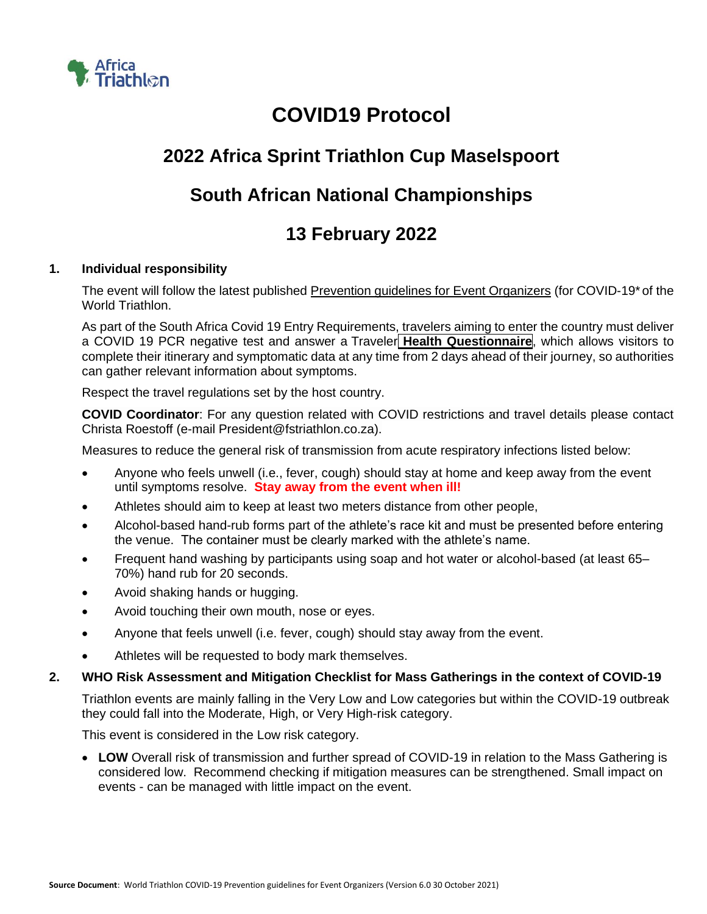

# **COVID19 Protocol**

## **2022 Africa Sprint Triathlon Cup Maselspoort**

## **South African National Championships**

## **13 February 2022**

## **1. Individual responsibility**

The event will follow the latest published [Prevention guidelines for Event Organizers](https://www.triathlon.org/uploads/docs/20210303_Covid19_Guidelines_5.0_v2.pdf) (for COVID-19\* of the World Triathlon.

As part of the South Africa Covid 19 Entry Requirements, travelers aiming to enter the country must deliver a COVID 19 PCR negative test and answer a [Traveler](https://www.ivisa.com/south-africa-health-questionnaire) **Health [Questionnaire](https://www.ivisa.com/south-africa-health-questionnaire)**, which allows visitors to complete their itinerary and symptomatic data at any time from 2 days ahead of their journey, so authorities can gather relevant information about symptoms.

Respect the travel regulations set by the host country.

**COVID Coordinator**: For any question related with COVID restrictions and travel details please contact Christa Roestoff (e-mail President@fstriathlon.co.za).

Measures to reduce the general risk of transmission from acute respiratory infections listed below:

- Anyone who feels unwell (i.e., fever, cough) should stay at home and keep away from the event until symptoms resolve. **Stay away from the event when ill!**
- Athletes should aim to keep at least two meters distance from other people,
- Alcohol-based hand-rub forms part of the athlete's race kit and must be presented before entering the venue. The container must be clearly marked with the athlete's name.
- Frequent hand washing by participants using soap and hot water or alcohol-based (at least 65– 70%) hand rub for 20 seconds.
- Avoid shaking hands or hugging.
- Avoid touching their own mouth, nose or eyes.
- Anyone that feels unwell (i.e. fever, cough) should stay away from the event.
- Athletes will be requested to body mark themselves.

### **2. WHO Risk Assessment and Mitigation Checklist for Mass Gatherings in the context of COVID-19**

Triathlon events are mainly falling in the Very Low and Low categories but within the COVID-19 outbreak they could fall into the Moderate, High, or Very High-risk category.

This event is considered in the Low risk category.

• **LOW** Overall risk of transmission and further spread of COVID-19 in relation to the Mass Gathering is considered low. Recommend checking if mitigation measures can be strengthened. Small impact on events - can be managed with little impact on the event.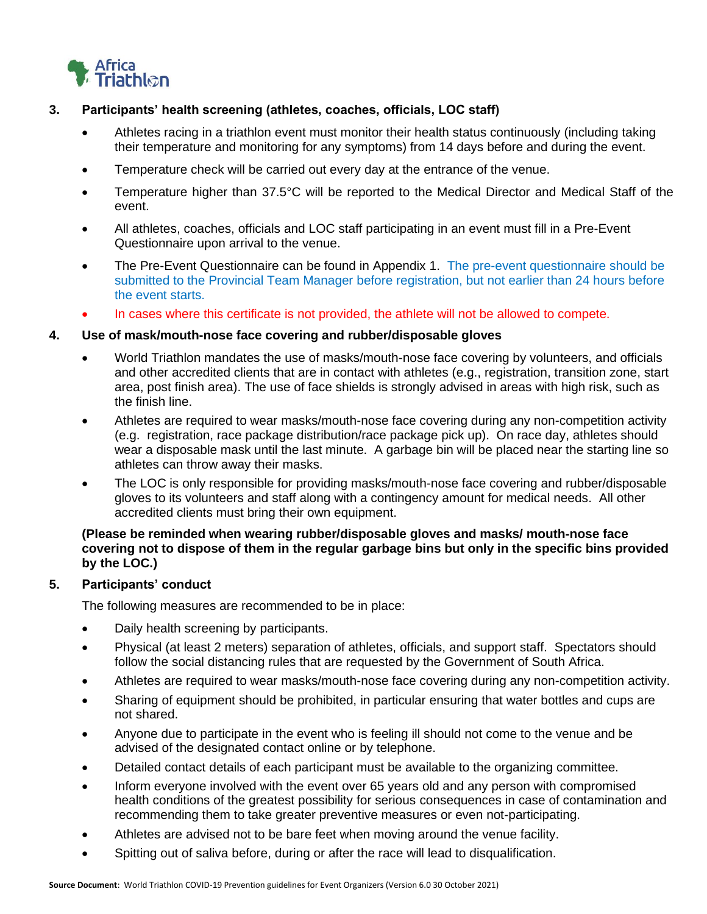

### **3. Participants' health screening (athletes, coaches, officials, LOC staff)**

- Athletes racing in a triathlon event must monitor their health status continuously (including taking their temperature and monitoring for any symptoms) from 14 days before and during the event.
- Temperature check will be carried out every day at the entrance of the venue.
- Temperature higher than 37.5°C will be reported to the Medical Director and Medical Staff of the event.
- All athletes, coaches, officials and LOC staff participating in an event must fill in a Pre-Event Questionnaire upon arrival to the venue.
- The Pre-Event Questionnaire can be found in Appendix 1. The pre-event questionnaire should be submitted to the Provincial Team Manager before registration, but not earlier than 24 hours before the event starts.
- In cases where this certificate is not provided, the athlete will not be allowed to compete.

### **4. Use of mask/mouth-nose face covering and rubber/disposable gloves**

- World Triathlon mandates the use of masks/mouth-nose face covering by volunteers, and officials and other accredited clients that are in contact with athletes (e.g., registration, transition zone, start area, post finish area). The use of face shields is strongly advised in areas with high risk, such as the finish line.
- Athletes are required to wear masks/mouth-nose face covering during any non-competition activity (e.g. registration, race package distribution/race package pick up). On race day, athletes should wear a disposable mask until the last minute. A garbage bin will be placed near the starting line so athletes can throw away their masks.
- The LOC is only responsible for providing masks/mouth-nose face covering and rubber/disposable gloves to its volunteers and staff along with a contingency amount for medical needs. All other accredited clients must bring their own equipment.

### **(Please be reminded when wearing rubber/disposable gloves and masks/ mouth-nose face covering not to dispose of them in the regular garbage bins but only in the specific bins provided by the LOC.)**

#### **5. Participants' conduct**

The following measures are recommended to be in place:

- Daily health screening by participants.
- Physical (at least 2 meters) separation of athletes, officials, and support staff. Spectators should follow the social distancing rules that are requested by the Government of South Africa.
- Athletes are required to wear masks/mouth-nose face covering during any non-competition activity.
- Sharing of equipment should be prohibited, in particular ensuring that water bottles and cups are not shared.
- Anyone due to participate in the event who is feeling ill should not come to the venue and be advised of the designated contact online or by telephone.
- Detailed contact details of each participant must be available to the organizing committee.
- Inform everyone involved with the event over 65 years old and any person with compromised health conditions of the greatest possibility for serious consequences in case of contamination and recommending them to take greater preventive measures or even not-participating.
- Athletes are advised not to be bare feet when moving around the venue facility.
- Spitting out of saliva before, during or after the race will lead to disqualification.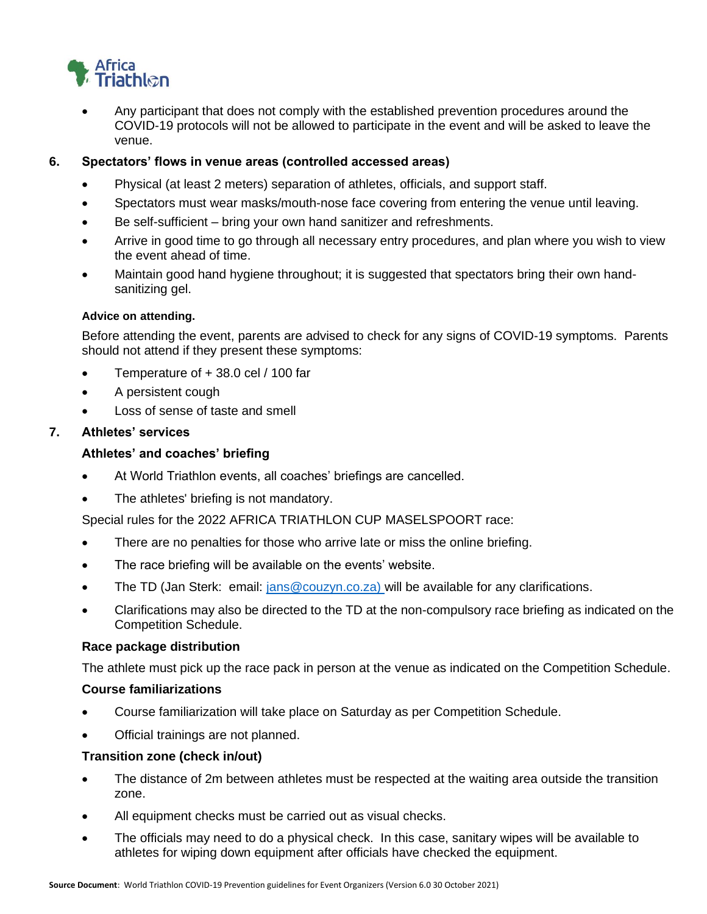

• Any participant that does not comply with the established prevention procedures around the COVID-19 protocols will not be allowed to participate in the event and will be asked to leave the venue.

**6. Spectators' flows in venue areas (controlled accessed areas)**

- Physical (at least 2 meters) separation of athletes, officials, and support staff.
- Spectators must wear masks/mouth-nose face covering from entering the venue until leaving.
- Be self-sufficient bring your own hand sanitizer and refreshments.
- Arrive in good time to go through all necessary entry procedures, and plan where you wish to view the event ahead of time.
- Maintain good hand hygiene throughout; it is suggested that spectators bring their own handsanitizing gel.

#### **Advice on attending.**

Before attending the event, parents are advised to check for any signs of COVID-19 symptoms. Parents should not attend if they present these symptoms:

- Temperature of + 38.0 cel / 100 far
- A persistent cough
- Loss of sense of taste and smell

### **7. Athletes' services**

#### **Athletes' and coaches' briefing**

- At World Triathlon events, all coaches' briefings are cancelled.
- The athletes' briefing is not mandatory.

Special rules for the 2022 AFRICA TRIATHLON CUP MASELSPOORT race:

- There are no penalties for those who arrive late or miss the online briefing.
- The race briefing will be available on the events' website.
- The TD (Jan Sterk: email: [jans@couzyn.co.za\)](mailto:jans@couzyn.co.za) will be available for any clarifications.
- Clarifications may also be directed to the TD at the non-compulsory race briefing as indicated on the Competition Schedule.

#### **Race package distribution**

The athlete must pick up the race pack in person at the venue as indicated on the Competition Schedule.

#### **Course familiarizations**

- Course familiarization will take place on Saturday as per Competition Schedule.
- Official trainings are not planned.

#### **Transition zone (check in/out)**

- The distance of 2m between athletes must be respected at the waiting area outside the transition zone.
- All equipment checks must be carried out as visual checks.
- The officials may need to do a physical check. In this case, sanitary wipes will be available to athletes for wiping down equipment after officials have checked the equipment.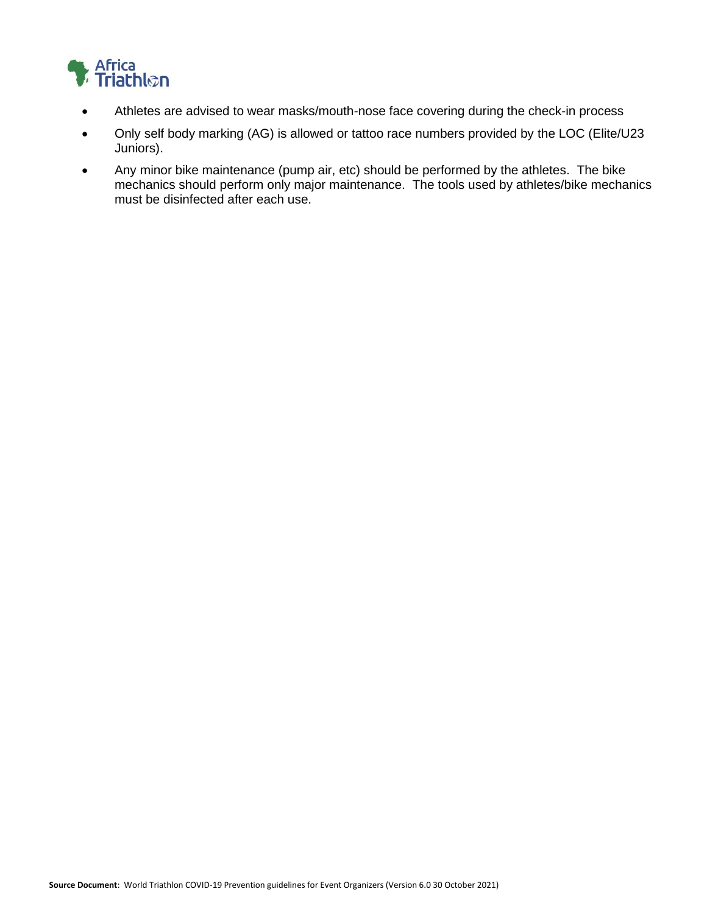

- Athletes are advised to wear masks/mouth-nose face covering during the check-in process
- Only self body marking (AG) is allowed or tattoo race numbers provided by the LOC (Elite/U23 Juniors).
- Any minor bike maintenance (pump air, etc) should be performed by the athletes. The bike mechanics should perform only major maintenance. The tools used by athletes/bike mechanics must be disinfected after each use.